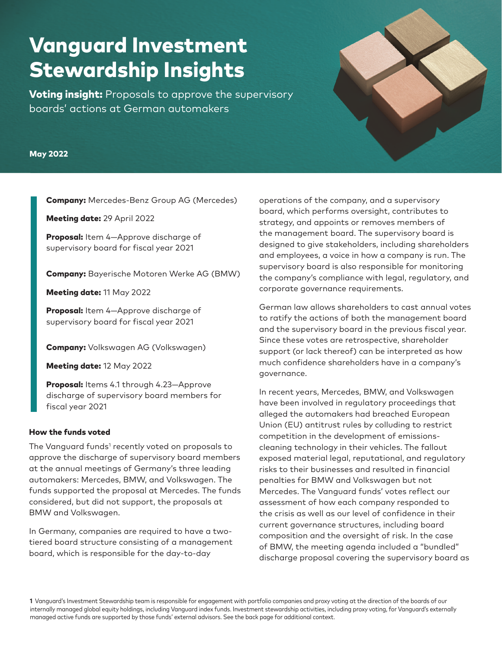# Vanguard Investment Stewardship Insights

**Voting insight:** Proposals to approve the supervisory boards' actions at German automakers

#### May 2022

**Company:** Mercedes-Benz Group AG (Mercedes)

Meeting date: 29 April 2022

Proposal: Item 4-Approve discharge of supervisory board for fiscal year 2021

Company: Bayerische Motoren Werke AG (BMW)

Meeting date: 11 May 2022

Proposal: Item 4-Approve discharge of supervisory board for fiscal year 2021

Company: Volkswagen AG (Volkswagen)

Meeting date: 12 May 2022

Proposal: Items 4.1 through 4.23-Approve discharge of supervisory board members for fiscal year 2021

#### How the funds voted

The Vanguard funds<sup>1</sup> recently voted on proposals to approve the discharge of supervisory board members at the annual meetings of Germany's three leading automakers: Mercedes, BMW, and Volkswagen. The funds supported the proposal at Mercedes. The funds considered, but did not support, the proposals at BMW and Volkswagen.

In Germany, companies are required to have a twotiered board structure consisting of a management board, which is responsible for the day-to-day

operations of the company, and a supervisory board, which performs oversight, contributes to strategy, and appoints or removes members of the management board. The supervisory board is designed to give stakeholders, including shareholders and employees, a voice in how a company is run. The supervisory board is also responsible for monitoring the company's compliance with legal, regulatory, and corporate governance requirements.

German law allows shareholders to cast annual votes to ratify the actions of both the management board and the supervisory board in the previous fiscal year. Since these votes are retrospective, shareholder support (or lack thereof) can be interpreted as how much confidence shareholders have in a company's governance.

In recent years, Mercedes, BMW, and Volkswagen have been involved in regulatory proceedings that alleged the automakers had breached European Union (EU) antitrust rules by colluding to restrict competition in the development of emissionscleaning technology in their vehicles. The fallout exposed material legal, reputational, and regulatory risks to their businesses and resulted in financial penalties for BMW and Volkswagen but not Mercedes. The Vanguard funds' votes reflect our assessment of how each company responded to the crisis as well as our level of confidence in their current governance structures, including board composition and the oversight of risk. In the case of BMW, the meeting agenda included a "bundled" discharge proposal covering the supervisory board as

**1** Vanguard's Investment Stewardship team is responsible for engagement with portfolio companies and proxy voting at the direction of the boards of our internally managed global equity holdings, including Vanguard index funds. Investment stewardship activities, including proxy voting, for Vanguard's externally managed active funds are supported by those funds' external advisors. See the back page for additional context.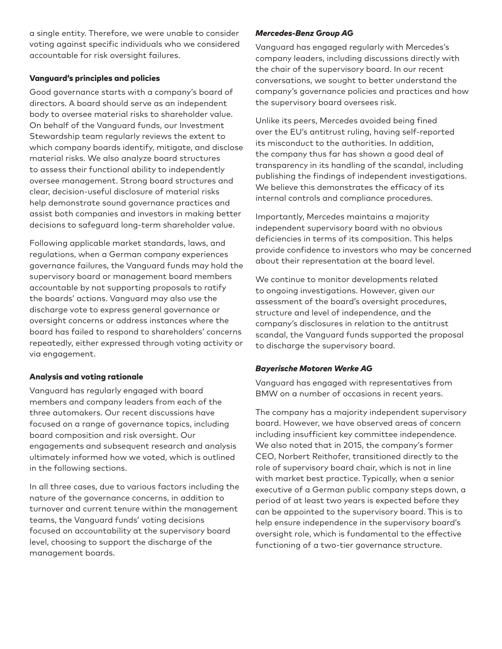a single entity. Therefore, we were unable to consider voting against specific individuals who we considered accountable for risk oversight failures.

## Vanguard's principles and policies

Good governance starts with a company's board of directors. A board should serve as an independent body to oversee material risks to shareholder value. On behalf of the Vanguard funds, our Investment Stewardship team regularly reviews the extent to which company boards identify, mitigate, and disclose material risks. We also analyze board structures to assess their functional ability to independently oversee management. Strong board structures and clear, decision-useful disclosure of material risks help demonstrate sound governance practices and assist both companies and investors in making better decisions to safeguard long-term shareholder value.

Following applicable market standards, laws, and regulations, when a German company experiences governance failures, the Vanguard funds may hold the supervisory board or management board members accountable by not supporting proposals to ratify the boards' actions. Vanguard may also use the discharge vote to express general governance or oversight concerns or address instances where the board has failed to respond to shareholders' concerns repeatedly, either expressed through voting activity or via engagement.

# Analysis and voting rationale

Vanguard has regularly engaged with board members and company leaders from each of the three automakers. Our recent discussions have focused on a range of governance topics, including board composition and risk oversight. Our engagements and subsequent research and analysis ultimately informed how we voted, which is outlined in the following sections.

In all three cases, due to various factors including the nature of the governance concerns, in addition to turnover and current tenure within the management teams, the Vanguard funds' voting decisions focused on accountability at the supervisory board level, choosing to support the discharge of the management boards.

## *Mercedes-Benz Group AG*

Vanguard has engaged regularly with Mercedes's company leaders, including discussions directly with the chair of the supervisory board. In our recent conversations, we sought to better understand the company's governance policies and practices and how the supervisory board oversees risk.

Unlike its peers, Mercedes avoided being fined over the EU's antitrust ruling, having self-reported its misconduct to the authorities. In addition, the company thus far has shown a good deal of transparency in its handling of the scandal, including publishing the findings of independent investigations. We believe this demonstrates the efficacy of its internal controls and compliance procedures.

Importantly, Mercedes maintains a majority independent supervisory board with no obvious deficiencies in terms of its composition. This helps provide confidence to investors who may be concerned about their representation at the board level.

We continue to monitor developments related to ongoing investigations. However, given our assessment of the board's oversight procedures, structure and level of independence, and the company's disclosures in relation to the antitrust scandal, the Vanguard funds supported the proposal to discharge the supervisory board.

#### *Bayerische Motoren Werke AG*

Vanguard has engaged with representatives from BMW on a number of occasions in recent years.

The company has a majority independent supervisory board. However, we have observed areas of concern including insufficient key committee independence. We also noted that in 2015, the company's former CEO, Norbert Reithofer, transitioned directly to the role of supervisory board chair, which is not in line with market best practice. Typically, when a senior executive of a German public company steps down, a period of at least two years is expected before they can be appointed to the supervisory board. This is to help ensure independence in the supervisory board's oversight role, which is fundamental to the effective functioning of a two-tier governance structure.